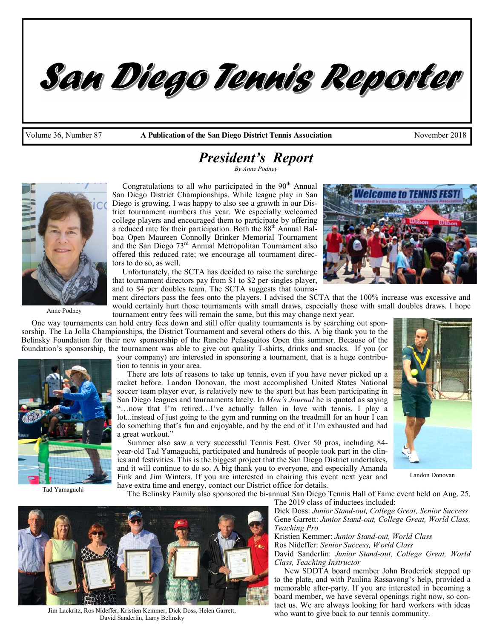Volume 36, Number 87 **A Publication of the San Diego District Tennis Association** November 2018

# *President's Report*

San Diego Tennis Reporter

*By Anne Podney* 



Anne Podney

Congratulations to all who participated in the  $90<sup>th</sup>$  Annual San Diego District Championships. While league play in San Diego is growing, I was happy to also see a growth in our District tournament numbers this year. We especially welcomed college players and encouraged them to participate by offering a reduced rate for their participation. Both the  $88<sup>th</sup>$  Annual Balboa Open Maureen Connolly Brinker Memorial Tournament and the San Diego 73rd Annual Metropolitan Tournament also offered this reduced rate; we encourage all tournament directors to do so, as well.

 Unfortunately, the SCTA has decided to raise the surcharge that tournament directors pay from \$1 to \$2 per singles player, and to \$4 per doubles team. The SCTA suggests that tourna-



ment directors pass the fees onto the players. I advised the SCTA that the 100% increase was excessive and would certainly hurt those tournaments with small draws, especially those with small doubles draws. I hope tournament entry fees will remain the same, but this may change next year.

 One way tournaments can hold entry fees down and still offer quality tournaments is by searching out sponsorship. The La Jolla Championships, the District Tournament and several others do this. A big thank you to the Belinsky Foundation for their new sponsorship of the Rancho Peñasquitos Open this summer. Because of the foundation's sponsorship, the tournament was able to give out quality T-shirts, drinks and snacks. If you (or

your company) are interested in sponsoring a tournament, that is a huge contribution to tennis in your area.

 There are lots of reasons to take up tennis, even if you have never picked up a racket before. Landon Donovan, the most accomplished United States National soccer team player ever, is relatively new to the sport but has been participating in San Diego leagues and tournaments lately. In *Men's Journal* he is quoted as saying "…now that I'm retired…I've actually fallen in love with tennis. I play a lot...instead of just going to the gym and running on the treadmill for an hour I can do something that's fun and enjoyable, and by the end of it I'm exhausted and had a great workout."

 Summer also saw a very successful Tennis Fest. Over 50 pros, including 84 year-old Tad Yamaguchi, participated and hundreds of people took part in the clinics and festivities. This is the biggest project that the San Diego District undertakes, and it will continue to do so. A big thank you to everyone, and especially Amanda Fink and Jim Winters. If you are interested in chairing this event next year and have extra time and energy, contact our District office for details.

Landon Donovan

The Belinsky Family also sponsored the bi-annual San Diego Tennis Hall of Fame event held on Aug. 25.



Jim Lackritz, Ros Nideffer, Kristien Kemmer, Dick Doss, Helen Garrett, David Sanderlin, Larry Belinsky

The 2019 class of inductees included: Dick Doss: *Junior Stand-out, College Great, Senior Success*  Gene Garrett: *Junior Stand-out, College Great, World Class, Teaching Pro* 

Kristien Kemmer: *Junior Stand-out, World Class*  Ros Nideffer: *Senior Success, World Class* 

David Sanderlin: *Junior Stand-out, College Great, World Class, Teaching Instructor* 

 New SDDTA board member John Broderick stepped up to the plate, and with Paulina Rassavong's help, provided a memorable after-party. If you are interested in becoming a board member, we have several openings right now, so contact us. We are always looking for hard workers with ideas who want to give back to our tennis community.



Tad Yamaguchi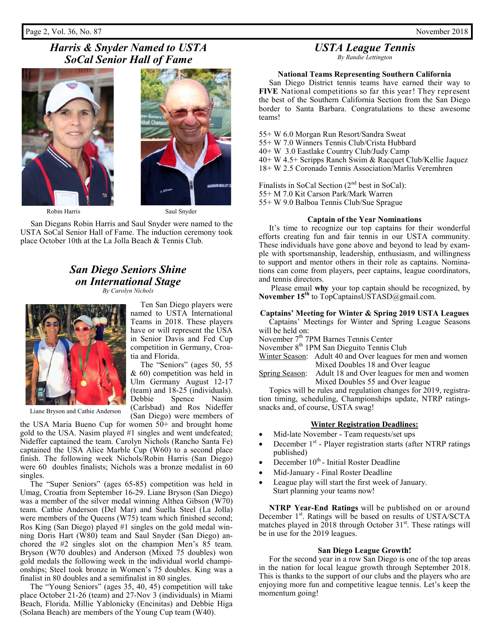### Page 2, Vol. 36, No. 87 November 2018

# *Harris & Snyder Named to USTA SoCal Senior Hall of Fame*





Ten San Diego players were

The "Seniors" (ages 50, 55

Spence

(San Diego) were members of

Robin Harris Saul Snyder

 San Diegans Robin Harris and Saul Snyder were named to the USTA SoCal Senior Hall of Fame. The induction ceremony took place October 10th at the La Jolla Beach & Tennis Club.

## *San Diego Seniors Shine on International Stage By Carolyn Nichols*





Liane Bryson and Cathie Anderson

the USA Maria Bueno Cup for women 50+ and brought home gold to the USA. Nasim played #1 singles and went undefeated; Nideffer captained the team. Carolyn Nichols (Rancho Santa Fe) captained the USA Alice Marble Cup (W60) to a second place finish. The following week Nichols/Robin Harris (San Diego) were 60 doubles finalists; Nichols was a bronze medalist in 60 singles.

 The "Super Seniors" (ages 65-85) competition was held in Umag, Croatia from September 16-29. Liane Bryson (San Diego) was a member of the silver medal winning Althea Gibson (W70) team. Cathie Anderson (Del Mar) and Suella Steel (La Jolla) were members of the Queens (W75) team which finished second; Ros King (San Diego) played #1 singles on the gold medal winning Doris Hart (W80) team and Saul Snyder (San Diego) anchored the #2 singles slot on the champion Men's 85 team. Bryson (W70 doubles) and Anderson (Mixed 75 doubles) won gold medals the following week in the individual world championships; Steel took bronze in Women's 75 doubles. King was a finalist in 80 doubles and a semifinalist in 80 singles.

 The "Young Seniors" (ages 35, 40, 45) competition will take place October 21-26 (team) and 27-Nov 3 (individuals) in Miami Beach, Florida. Millie Yablonicky (Encinitas) and Debbie Higa (Solana Beach) are members of the Young Cup team (W40).

# *USTA League Tennis*

*By Randie Lettington* 

## **National Teams Representing Southern California**

 San Diego District tennis teams have earned their way to **FIVE** National competitions so far this year! They represent the best of the Southern California Section from the San Diego border to Santa Barbara. Congratulations to these awesome teams!

55+ W 6.0 Morgan Run Resort/Sandra Sweat 55+ W 7.0 Winners Tennis Club/Crista Hubbard 40+ W 3.0 Eastlake Country Club/Judy Camp 40+ W 4.5+ Scripps Ranch Swim & Racquet Club/Kellie Jaquez 18+ W 2.5 Coronado Tennis Association/Marlis Veremhren

Finalists in SoCal Section  $(2<sup>nd</sup>$  best in SoCal): 55+ M 7.0 Kit Carson Park/Mark Warren 55+ W 9.0 Balboa Tennis Club/Sue Sprague

### **Captain of the Year Nominations**

 It's time to recognize our top captains for their wonderful efforts creating fun and fair tennis in our USTA community. These individuals have gone above and beyond to lead by example with sportsmanship, leadership, enthusiasm, and willingness to support and mentor others in their role as captains. Nominations can come from players, peer captains, league coordinators, and tennis directors.

 Please email **why** your top captain should be recognized, by **November 15th** to TopCaptainsUSTASD@gmail.com.

## **Captains' Meeting for Winter & Spring 2019 USTA Leagues**

 Captains' Meetings for Winter and Spring League Seasons will be held on:

November  $7<sup>th</sup>$  7PM Barnes Tennis Center

November 8<sup>th</sup> 1PM San Dieguito Tennis Club

Winter Season: Adult 40 and Over leagues for men and women Mixed Doubles 18 and Over league

Spring Season: Adult 18 and Over leagues for men and women Mixed Doubles 55 and Over league

 Topics will be rules and regulation changes for 2019, registration timing, scheduling, Championships update, NTRP ratingssnacks and, of course, USTA swag!

### **Winter Registration Deadlines:**

- Mid-late November Team requests/set ups
- December 1<sup>st</sup> Player registration starts (after NTRP ratings published)
- December 10<sup>th</sup> Initial Roster Deadline
- Mid-January Final Roster Deadline
- League play will start the first week of January. Start planning your teams now!

 **NTRP Year-End Ratings** will be published on or around December 1<sup>st</sup>. Ratings will be based on results of USTA/SCTA matches played in 2018 through October  $31<sup>st</sup>$ . These ratings will be in use for the 2019 leagues.

#### **San Diego League Growth!**

 For the second year in a row San Diego is one of the top areas in the nation for local league growth through September 2018. This is thanks to the support of our clubs and the players who are enjoying more fun and competitive league tennis. Let's keep the momentum going!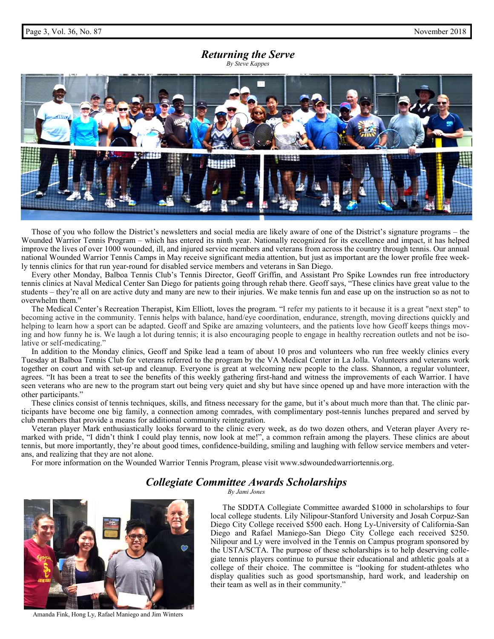### *Returning the Serve By Steve Kappes*



 Those of you who follow the District's newsletters and social media are likely aware of one of the District's signature programs – the Wounded Warrior Tennis Program – which has entered its ninth year. Nationally recognized for its excellence and impact, it has helped improve the lives of over 1000 wounded, ill, and injured service members and veterans from across the country through tennis. Our annual national Wounded Warrior Tennis Camps in May receive significant media attention, but just as important are the lower profile free weekly tennis clinics for that run year-round for disabled service members and veterans in San Diego.

 Every other Monday, Balboa Tennis Club's Tennis Director, Geoff Griffin, and Assistant Pro Spike Lowndes run free introductory tennis clinics at Naval Medical Center San Diego for patients going through rehab there. Geoff says, "These clinics have great value to the students – they're all on are active duty and many are new to their injuries. We make tennis fun and ease up on the instruction so as not to overwhelm them."

 The Medical Center's Recreation Therapist, Kim Elliott, loves the program. "I refer my patients to it because it is a great "next step" to becoming active in the community. Tennis helps with balance, hand/eye coordination, endurance, strength, moving directions quickly and helping to learn how a sport can be adapted. Geoff and Spike are amazing volunteers, and the patients love how Geoff keeps things moving and how funny he is. We laugh a lot during tennis; it is also encouraging people to engage in healthy recreation outlets and not be isolative or self-medicating."

 In addition to the Monday clinics, Geoff and Spike lead a team of about 10 pros and volunteers who run free weekly clinics every Tuesday at Balboa Tennis Club for veterans referred to the program by the VA Medical Center in La Jolla. Volunteers and veterans work together on court and with set-up and cleanup. Everyone is great at welcoming new people to the class. Shannon, a regular volunteer, agrees. "It has been a treat to see the benefits of this weekly gathering first-hand and witness the improvements of each Warrior. I have seen veterans who are new to the program start out being very quiet and shy but have since opened up and have more interaction with the other participants."

 These clinics consist of tennis techniques, skills, and fitness necessary for the game, but it's about much more than that. The clinic participants have become one big family, a connection among comrades, with complimentary post-tennis lunches prepared and served by club members that provide a means for additional community reintegration.

 Veteran player Mark enthusiastically looks forward to the clinic every week, as do two dozen others, and Veteran player Avery remarked with pride, "I didn't think I could play tennis, now look at me!", a common refrain among the players. These clinics are about tennis, but more importantly, they're about good times, confidence-building, smiling and laughing with fellow service members and veterans, and realizing that they are not alone.

For more information on the Wounded Warrior Tennis Program, please visit www.sdwoundedwarriortennis.org.

# *Collegiate Committee Awards Scholarships*

*By Jami Jones* 

 The SDDTA Collegiate Committee awarded \$1000 in scholarships to four local college students. Lily Nilipour-Stanford University and Josah Corpuz-San Diego City College received \$500 each. Hong Ly-University of California-San Diego and Rafael Maniego-San Diego City College each received \$250. Nilipour and Ly were involved in the Tennis on Campus program sponsored by the USTA/SCTA. The purpose of these scholarships is to help deserving collegiate tennis players continue to pursue their educational and athletic goals at a college of their choice. The committee is "looking for student-athletes who display qualities such as good sportsmanship, hard work, and leadership on their team as well as in their community."



Amanda Fink, Hong Ly, Rafael Maniego and Jim Winters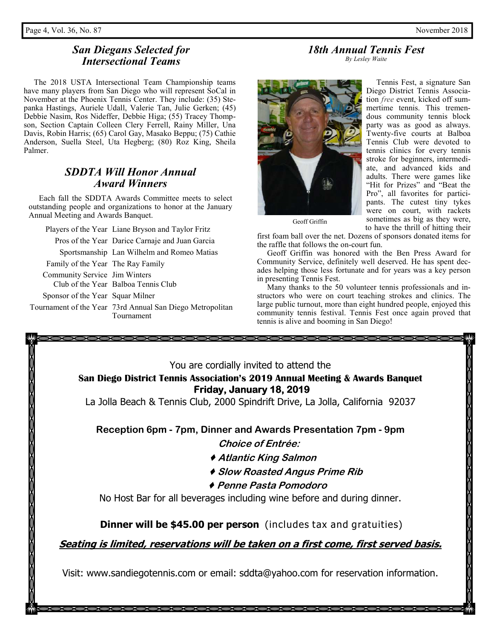# *San Diegans Selected for Intersectional Teams*

 The 2018 USTA Intersectional Team Championship teams have many players from San Diego who will represent SoCal in November at the Phoenix Tennis Center. They include: (35) Stepanka Hastings, Auriele Udall, Valerie Tan, Julie Gerken; (45) Debbie Nasim, Ros Nideffer, Debbie Higa; (55) Tracey Thompson, Section Captain Colleen Clery Ferrell, Rainy Miller, Una Davis, Robin Harris; (65) Carol Gay, Masako Beppu; (75) Cathie Anderson, Suella Steel, Uta Hegberg; (80) Roz King, Sheila Palmer.

# *SDDTA Will Honor Annual Award Winners*

 Each fall the SDDTA Awards Committee meets to select outstanding people and organizations to honor at the January Annual Meeting and Awards Banquet.

Players of the Year Liane Bryson and Taylor Fritz

| Pros of the Year Darice Carnaje and Juan Garcia                         |
|-------------------------------------------------------------------------|
| Sportsmanship Lan Wilhelm and Romeo Matias                              |
| Family of the Year The Ray Family                                       |
| Community Service Jim Winters                                           |
| Club of the Year Balboa Tennis Club                                     |
| Sponsor of the Year Squar Milner                                        |
| Tournament of the Year 73rd Annual San Diego Metropolitan<br>Tournament |
|                                                                         |



 Tennis Fest, a signature San Diego District Tennis Association *free* event, kicked off summertime tennis. This tremendous community tennis block party was as good as always. Twenty-five courts at Balboa Tennis Club were devoted to tennis clinics for every tennis stroke for beginners, intermediate, and advanced kids and adults. There were games like "Hit for Prizes" and "Beat the Pro", all favorites for participants. The cutest tiny tykes were on court, with rackets sometimes as big as they were, to have the thrill of hitting their

Geoff Griffin

first foam ball over the net. Dozens of sponsors donated items for the raffle that follows the on-court fun.

 Geoff Griffin was honored with the Ben Press Award for Community Service, definitely well deserved. He has spent decades helping those less fortunate and for years was a key person in presenting Tennis Fest.

*18th Annual Tennis Fest By Lesley Waite* 

 Many thanks to the 50 volunteer tennis professionals and instructors who were on court teaching strokes and clinics. The large public turnout, more than eight hundred people, enjoyed this community tennis festival. Tennis Fest once again proved that tennis is alive and booming in San Diego!

| XXXXXX                                                                                                   |
|----------------------------------------------------------------------------------------------------------|
|                                                                                                          |
| You are cordially invited to attend the                                                                  |
| San Diego District Tennis Association's 2019 Annual Meeting & Awards Banquet<br>Friday, January 18, 2019 |
| La Jolla Beach & Tennis Club, 2000 Spindrift Drive, La Jolla, California 92037                           |
| Reception 6pm - 7pm, Dinner and Awards Presentation 7pm - 9pm                                            |
| Choice of Entrée:                                                                                        |
| ◆ Atlantic King Salmon                                                                                   |
| ◆ Slow Roasted Angus Prime Rib                                                                           |
| ◆ Penne Pasta Pomodoro                                                                                   |
| No Host Bar for all beverages including wine before and during dinner.                                   |
| <b>Dinner will be \$45.00 per person</b> (includes tax and gratuities)                                   |
| <u>Seating is limited, reservations will be taken on a first come, first served basis.</u>               |
| Visit: www.sandiegotennis.com or email: sddta@yahoo.com for reservation information.                     |

000000000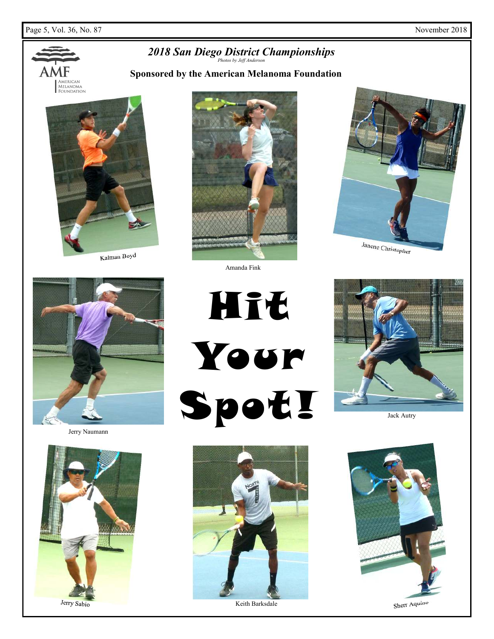

Keith Barksdale



Jack Autry





Jerry Sabio